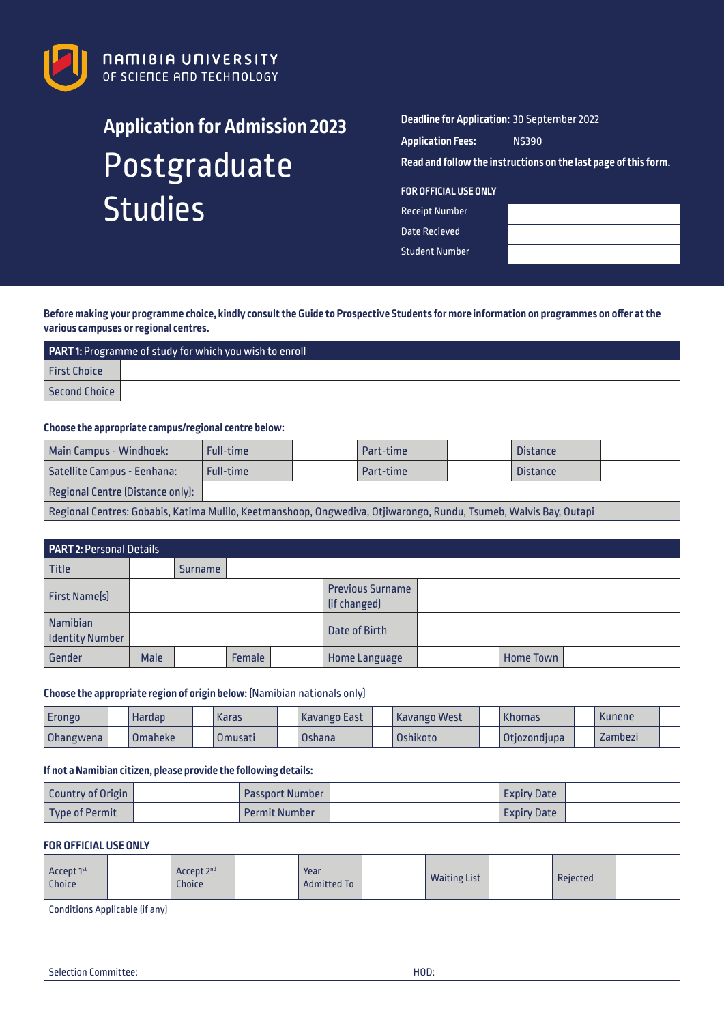

# **Application for Admission 2023** Postgraduate Studies

# **Deadline for Application:** 30 September 2022

| <b>Application Fees:</b> | N\$390 |
|--------------------------|--------|
|--------------------------|--------|

**Read and follow the instructions on the last page of this form.**

#### **FOR OFFICIAL USE ONLY**

Receipt Number Date Recieved

Student Number

**Before making your programme choice, kindly consult the Guide to Prospective Students for more information on programmes on offer at the various campuses or regional centres.**

| <b>PART 1:</b> Programme of study for which you wish to enroll |  |  |  |  |  |  |  |
|----------------------------------------------------------------|--|--|--|--|--|--|--|
| <b>First Choice</b>                                            |  |  |  |  |  |  |  |
| Second Choice                                                  |  |  |  |  |  |  |  |

# **Choose the appropriate campus/regional centre below:**

| <b>Main Campus - Windhoek:</b>                                                                                    | <b>Full-time</b>                 |  | Part-time |  | <b>Distance</b> |  |  |  |  |  |
|-------------------------------------------------------------------------------------------------------------------|----------------------------------|--|-----------|--|-----------------|--|--|--|--|--|
| Satellite Campus - Eenhana:                                                                                       | <b>Full-time</b>                 |  | Part-time |  | <b>Distance</b> |  |  |  |  |  |
|                                                                                                                   | Regional Centre (Distance only): |  |           |  |                 |  |  |  |  |  |
| Regional Centres: Gobabis, Katima Mulilo, Keetmanshoop, Ongwediva, Otjiwarongo, Rundu, Tsumeb, Walvis Bay, Outapi |                                  |  |           |  |                 |  |  |  |  |  |

| <b>PART 2: Personal Details</b>           |             |                |        |  |                      |  |                  |  |  |  |  |
|-------------------------------------------|-------------|----------------|--------|--|----------------------|--|------------------|--|--|--|--|
| <b>Title</b>                              |             | <b>Surname</b> |        |  |                      |  |                  |  |  |  |  |
| <b>First Name(s)</b>                      |             |                |        |  |                      |  |                  |  |  |  |  |
| <b>Namibian</b><br><b>Identity Number</b> |             |                |        |  | Date of Birth        |  |                  |  |  |  |  |
| Gender                                    | <b>Male</b> |                | Female |  | <b>Home Language</b> |  | <b>Home Town</b> |  |  |  |  |

# **Choose the appropriate region of origin below:** (Namibian nationals only)

| <b>Erongo</b> | <b>Hardap</b> | <b>Karas</b>   | Kavango East | Kavango West | Khomas       | <b>Kunene</b> |  |
|---------------|---------------|----------------|--------------|--------------|--------------|---------------|--|
| Ohangwena     | l Omaheke     | <b>Omusati</b> | Oshana       | Oshikoto     | Otjozondjupa | Zambezi       |  |

### **If not a Namibian citizen, please provide the following details:**

| <b>Country of Origin</b> | <b>Passport Number</b> | <b>Expiry Date</b> |  |
|--------------------------|------------------------|--------------------|--|
| Type of Permit           | <b>Permit Number</b>   | <b>Expiry Date</b> |  |

## **FOR OFFICIAL USE ONLY**

| Accept 1st<br><b>Choice</b> |                                       | Accept 2 <sup>nd</sup><br>Choice | Year<br><b>Admitted To</b> |      | <b>Waiting List</b> | Rejected |  |
|-----------------------------|---------------------------------------|----------------------------------|----------------------------|------|---------------------|----------|--|
|                             | <b>Conditions Applicable (if any)</b> |                                  |                            |      |                     |          |  |
|                             |                                       |                                  |                            |      |                     |          |  |
|                             |                                       |                                  |                            |      |                     |          |  |
| <b>Selection Committee:</b> |                                       |                                  |                            | HOD: |                     |          |  |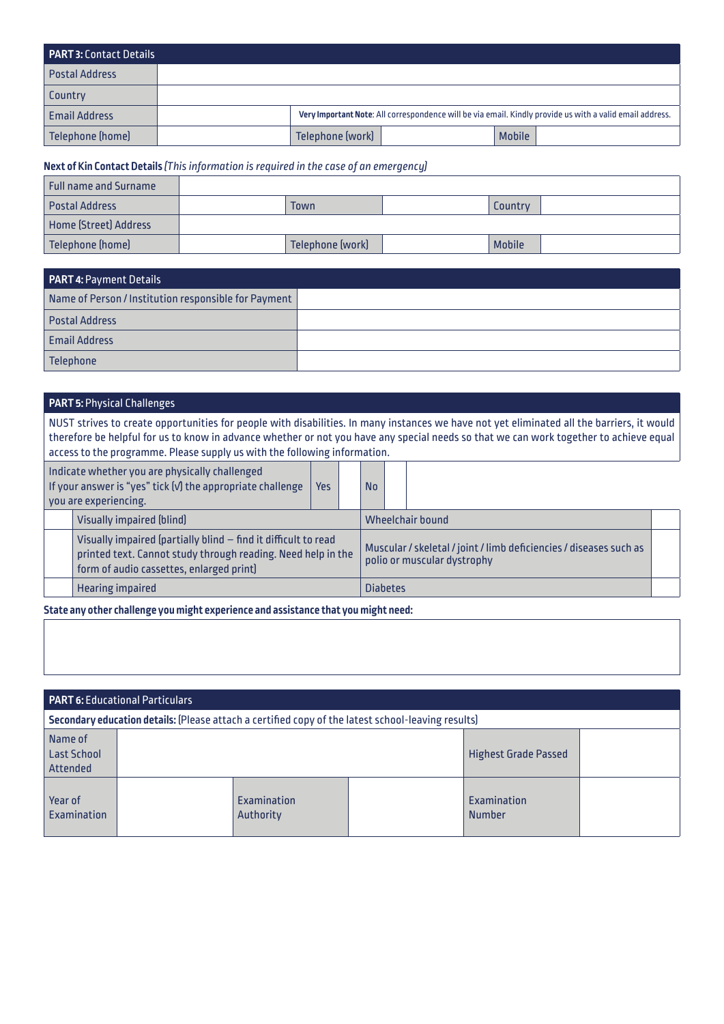| <b>PART 3: Contact Details</b> |                  |               |                                                                                                          |
|--------------------------------|------------------|---------------|----------------------------------------------------------------------------------------------------------|
| <b>Postal Address</b>          |                  |               |                                                                                                          |
| <b>Country</b>                 |                  |               |                                                                                                          |
| <b>Email Address</b>           |                  |               | Very Important Note: All correspondence will be via email. Kindly provide us with a valid email address. |
| Telephone (home)               | Telephone (work) | <b>Mobile</b> |                                                                                                          |

# **Next of Kin Contact Details** *(This information is required in the case of an emergency)*

| <b>Full name and Surname</b> |                  |               |  |
|------------------------------|------------------|---------------|--|
| <b>Postal Address</b>        | Town             | Country       |  |
| Home (Street) Address        |                  |               |  |
| Telephone (home)             | Telephone (work) | <b>Mobile</b> |  |

| <b>PART 4: Payment Details</b>                       |  |
|------------------------------------------------------|--|
| Name of Person / Institution responsible for Payment |  |
| <b>Postal Address</b>                                |  |
| <b>Email Address</b>                                 |  |
| <b>Telephone</b>                                     |  |

| <b>PART 5: Physical Challenges</b>                                                                                                                                                                                                                                                                                                                                |  |  |  |                 |                  |  |  |  |  |
|-------------------------------------------------------------------------------------------------------------------------------------------------------------------------------------------------------------------------------------------------------------------------------------------------------------------------------------------------------------------|--|--|--|-----------------|------------------|--|--|--|--|
| NUST strives to create opportunities for people with disabilities. In many instances we have not yet eliminated all the barriers, it would<br>therefore be helpful for us to know in advance whether or not you have any special needs so that we can work together to achieve equal<br>access to the programme. Please supply us with the following information. |  |  |  |                 |                  |  |  |  |  |
| Indicate whether you are physically challenged<br>If your answer is "yes" tick $[V]$ the appropriate challenge<br>No<br><b>Yes</b><br>you are experiencing.                                                                                                                                                                                                       |  |  |  |                 |                  |  |  |  |  |
| Visually impaired (blind)                                                                                                                                                                                                                                                                                                                                         |  |  |  |                 | Wheelchair bound |  |  |  |  |
| Visually impaired (partially blind - find it difficult to read<br>Muscular / skeletal / joint / limb deficiencies / diseases such as<br>printed text. Cannot study through reading. Need help in the<br>polio or muscular dystrophy<br>form of audio cassettes, enlarged print)                                                                                   |  |  |  |                 |                  |  |  |  |  |
| <b>Hearing impaired</b>                                                                                                                                                                                                                                                                                                                                           |  |  |  | <b>Diabetes</b> |                  |  |  |  |  |
|                                                                                                                                                                                                                                                                                                                                                                   |  |  |  |                 |                  |  |  |  |  |

**State any other challenge you might experience and assistance that you might need:**

| <b>PART 6: Educational Particulars</b>    |  |                          |                                                                                                    |                              |  |  |  |  |  |
|-------------------------------------------|--|--------------------------|----------------------------------------------------------------------------------------------------|------------------------------|--|--|--|--|--|
|                                           |  |                          | Secondary education details: [Please attach a certified copy of the latest school-leaving results] |                              |  |  |  |  |  |
| Name of<br><b>Last School</b><br>Attended |  |                          |                                                                                                    | <b>Highest Grade Passed</b>  |  |  |  |  |  |
| Year of<br>Examination                    |  | Examination<br>Authority |                                                                                                    | Examination<br><b>Number</b> |  |  |  |  |  |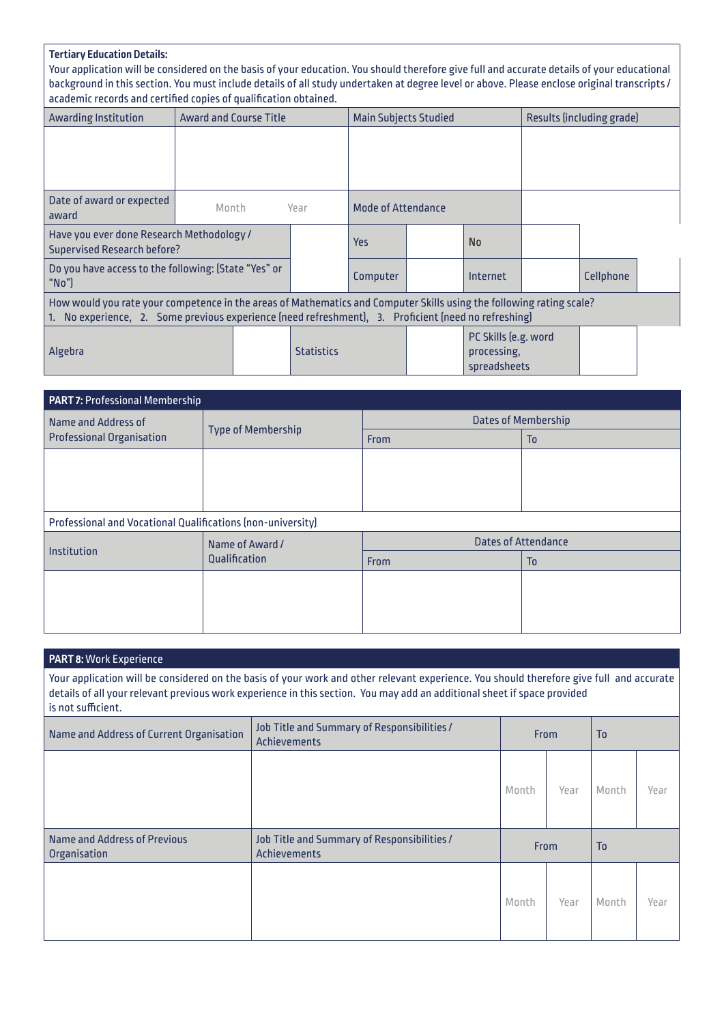# **Tertiary Education Details:**

Your application will be considered on the basis of your education. You should therefore give full and accurate details of your educational background in this section. You must include details of all study undertaken at degree level or above. Please enclose original transcripts / academic records and certified copies of qualification obtained.

| <b>Awarding Institution</b>                                                                                                                                                                                                  | <b>Award and Course Title</b> |  | <b>Main Subjects Studied</b> |                           |  | Results (including grade)                           |  |           |  |
|------------------------------------------------------------------------------------------------------------------------------------------------------------------------------------------------------------------------------|-------------------------------|--|------------------------------|---------------------------|--|-----------------------------------------------------|--|-----------|--|
|                                                                                                                                                                                                                              |                               |  |                              |                           |  |                                                     |  |           |  |
| Date of award or expected<br>award                                                                                                                                                                                           | Month                         |  | Year                         | <b>Mode of Attendance</b> |  |                                                     |  |           |  |
| Have you ever done Research Methodology /<br><b>Supervised Research before?</b>                                                                                                                                              |                               |  |                              | <b>Yes</b>                |  | <b>No</b>                                           |  |           |  |
| Do you have access to the following: (State "Yes" or<br>" $No$ "                                                                                                                                                             |                               |  |                              | Computer                  |  | Internet                                            |  | Cellphone |  |
| How would you rate your competence in the areas of Mathematics and Computer Skills using the following rating scale?<br>1. No experience, 2. Some previous experience (need refreshment), 3. Proficient (need no refreshing) |                               |  |                              |                           |  |                                                     |  |           |  |
| Algebra                                                                                                                                                                                                                      |                               |  | <b>Statistics</b>            |                           |  | PC Skills (e.g. word<br>processing,<br>spreadsheets |  |           |  |

| <b>PART 7: Professional Membership</b>                      |                                  |                            |                |  |  |  |  |
|-------------------------------------------------------------|----------------------------------|----------------------------|----------------|--|--|--|--|
| Name and Address of                                         |                                  | <b>Dates of Membership</b> |                |  |  |  |  |
| <b>Professional Organisation</b>                            | <b>Type of Membership</b>        | From                       | T <sub>0</sub> |  |  |  |  |
|                                                             |                                  |                            |                |  |  |  |  |
|                                                             |                                  |                            |                |  |  |  |  |
|                                                             |                                  |                            |                |  |  |  |  |
| Professional and Vocational Qualifications (non-university) |                                  |                            |                |  |  |  |  |
| Institution                                                 | Name of Award /<br>Qualification | <b>Dates of Attendance</b> |                |  |  |  |  |
|                                                             |                                  | From                       | T <sub>0</sub> |  |  |  |  |
|                                                             |                                  |                            |                |  |  |  |  |
|                                                             |                                  |                            |                |  |  |  |  |
|                                                             |                                  |                            |                |  |  |  |  |
|                                                             |                                  |                            |                |  |  |  |  |

# **PART 8:** Work Experience

Your application will be considered on the basis of your work and other relevant experience. You should therefore give full and accurate details of all your relevant previous work experience in this section. You may add an additional sheet if space provided is not sufficient.

| Name and Address of Current Organisation            | Job Title and Summary of Responsibilities /<br>Achievements |             | <b>From</b> |                | T <sub>0</sub> |  |
|-----------------------------------------------------|-------------------------------------------------------------|-------------|-------------|----------------|----------------|--|
|                                                     |                                                             | Month       | Year        | Month          | Year           |  |
|                                                     |                                                             | <b>From</b> |             |                |                |  |
| <b>Name and Address of Previous</b><br>Organisation | Job Title and Summary of Responsibilities /<br>Achievements |             |             | T <sub>0</sub> |                |  |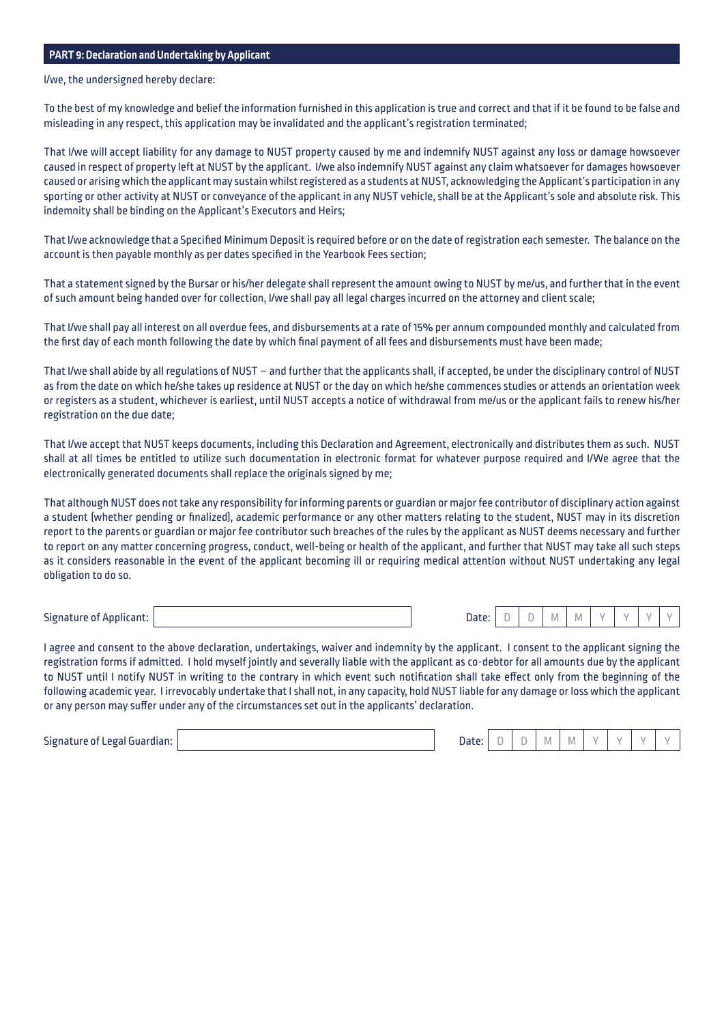# **PART 9: Declaration and Undertaking by Applicant**

I/we, the undersigned hereby declare:

To the best of my knowledge and belief the information furnished in this application is true and correct and that if it be found to be false and misleading in any respect, this application may be invalidated and the applicant's registration terminated;

That I/we will accept liability for any damage to NUST property caused by me and indemnify NUST against any loss or damage howsoever caused in respect of property left at NUST by the applicant. I/we also indemnify NUST against any claim whatsoever for damages howsoever caused or arising which the applicant may sustain whilst registered as a students at NUST, acknowledging the Applicant's participation in any sporting or other activity at NUST or conveyance of the applicant in any NUST vehicle, shall be at the Applicant's sole and absolute risk. This indemnity shall be binding on the Applicant's Executors and Heirs;

That I/we acknowledge that a Specified Minimum Deposit is required before or on the date of registration each semester. The balance on the account is then payable monthly as per dates specified in the Yearbook Fees section;

That a statement signed by the Bursar or his/her delegate shall represent the amount owing to NUST by me/us, and further that in the event of such amount being handed over for collection, I/we shall pay all legal charges incurred on the attorney and client scale;

That I/we shall pay all interest on all overdue fees, and disbursements at a rate of 15% per annum compounded monthly and calculated from the first day of each month following the date by which final payment of all fees and disbursements must have been made;

That I/we shall abide by all regulations of NUST – and further that the applicants shall, if accepted, be under the disciplinary control of NUST as from the date on which he/she takes up residence at NUST or the day on which he/she commences studies or attends an orientation week or registers as a student, whichever is earliest, until NUST accepts a notice of withdrawal from me/us or the applicant fails to renew his/her registration on the due date;

That I/we accept that NUST keeps documents, including this Declaration and Agreement, electronically and distributes them as such. NUST shall at all times be entitled to utilize such documentation in electronic format for whatever purpose required and I/We agree that the electronically generated documents shall replace the originals signed by me;

That although NUST does not take any responsibility for informing parents or guardian or major fee contributor of disciplinary action against a student (whether pending or finalized), academic performance or any other matters relating to the student, NUST may in its discretion report to the parents or guardian or major fee contributor such breaches of the rules by the applicant as NUST deems necessary and further to report on any matter concerning progress, conduct, well-being or health of the applicant, and further that NUST may take all such steps as it considers reasonable in the event of the applicant becoming ill or requiring medical attention without NUST undertaking any legal obligation to do so.

Signature of Applicant:

| ate.<br>л |  |  | ń | ٠ |  |  |  |  |
|-----------|--|--|---|---|--|--|--|--|
|-----------|--|--|---|---|--|--|--|--|

I agree and consent to the above declaration, undertakings, waiver and indemnity by the applicant. I consent to the applicant signing the registration forms if admitted. I hold myself jointly and severally liable with the applicant as co-debtor for all amounts due by the applicant to NUST until I notify NUST in writing to the contrary in which event such notification shall take effect only from the beginning of the following academic year. I irrevocably undertake that I shall not, in any capacity, hold NUST liable for any damage or loss which the applicant or any person may suffer under any of the circumstances set out in the applicants' declaration.

Signature of Legal Guardian: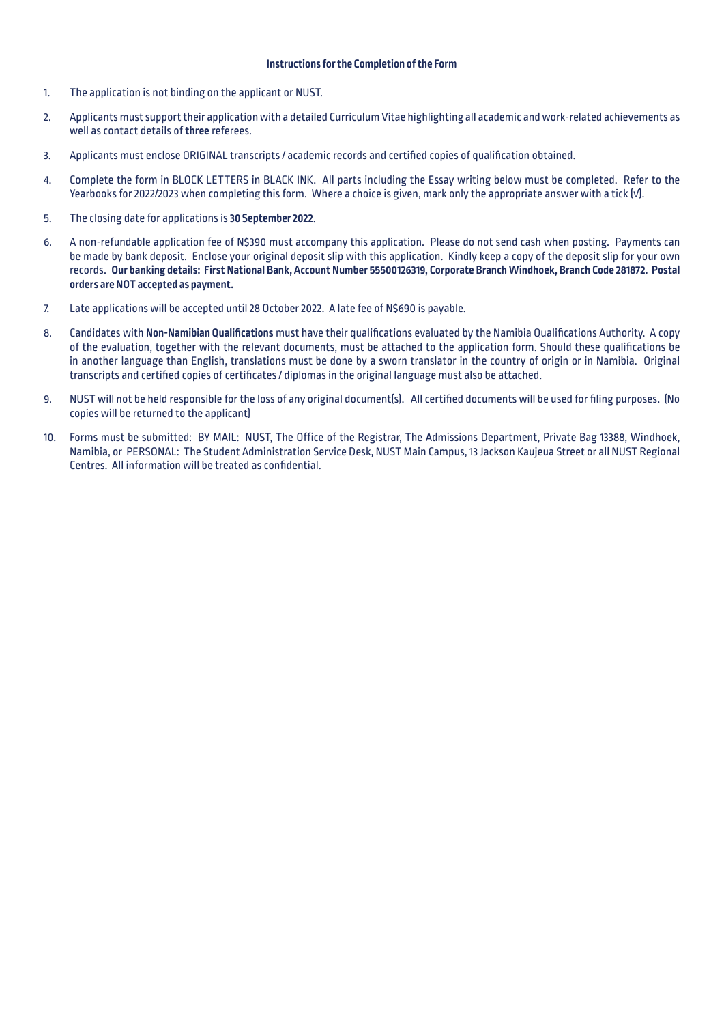#### **Instructions for the Completion of the Form**

- 1. The application is not binding on the applicant or NUST.
- 2. Applicants must support their application with a detailed Curriculum Vitae highlighting all academic and work-related achievements as well as contact details of **three** referees.
- 3. Applicants must enclose ORIGINAL transcripts / academic records and certified copies of qualification obtained.
- 4. Complete the form in BLOCK LETTERS in BLACK INK. All parts including the Essay writing below must be completed. Refer to the Yearbooks for 2022/2023 when completing this form. Where a choice is given, mark only the appropriate answer with a tick (√).
- 5. The closing date for applications is **30 September 2022**.
- 6. A non-refundable application fee of N\$390 must accompany this application. Please do not send cash when posting. Payments can be made by bank deposit. Enclose your original deposit slip with this application. Kindly keep a copy of the deposit slip for your own records. **Our banking details: First National Bank, Account Number 55500126319, Corporate Branch Windhoek, Branch Code 281872. Postal orders are NOT accepted as payment.**
- 7. Late applications will be accepted until 28 October 2022. A late fee of N\$690 is payable.
- 8. Candidates with **Non-Namibian Qualifications** must have their qualifications evaluated by the Namibia Qualifications Authority. A copy of the evaluation, together with the relevant documents, must be attached to the application form. Should these qualifications be in another language than English, translations must be done by a sworn translator in the country of origin or in Namibia. Original transcripts and certified copies of certificates / diplomas in the original language must also be attached.
- 9. NUST will not be held responsible for the loss of any original document(s). All certified documents will be used for filing purposes. (No copies will be returned to the applicant)
- 10. Forms must be submitted: BY MAIL: NUST, The Office of the Registrar, The Admissions Department, Private Bag 13388, Windhoek, Namibia, or PERSONAL: The Student Administration Service Desk, NUST Main Campus, 13 Jackson Kaujeua Street or all NUST Regional Centres. All information will be treated as confidential.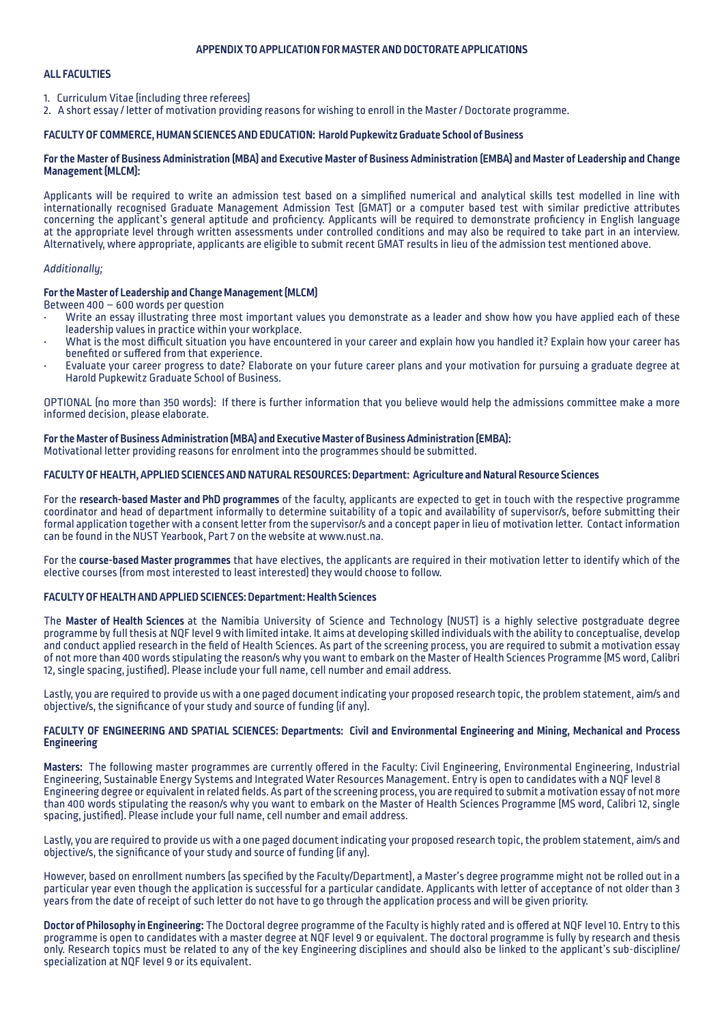#### **APPENDIX TO APPLICATION FOR MASTER AND DOCTORATE APPLICATIONS**

# **ALL FACULTIES**

1. Curriculum Vitae (including three referees)

2. A short essay / letter of motivation providing reasons for wishing to enroll in the Master / Doctorate programme.

#### **FACULTY OF COMMERCE, HUMAN SCIENCES AND EDUCATION: Harold Pupkewitz Graduate School of Business**

#### **For the Master of Business Administration (MBA) and Executive Master of Business Administration (EMBA) and Master of Leadership and Change Management (MLCM):**

Applicants will be required to write an admission test based on a simplified numerical and analytical skills test modelled in line with internationally recognised Graduate Management Admission Test (GMAT) or a computer based test with similar predictive attributes concerning the applicant's general aptitude and proficiency. Applicants will be required to demonstrate proficiency in English language at the appropriate level through written assessments under controlled conditions and may also be required to take part in an interview. Alternatively, where appropriate, applicants are eligible to submit recent GMAT results in lieu of the admission test mentioned above.

#### *Additionally;*

## **For the Master of Leadership and Change Management (MLCM)**

Between 400 – 600 words per question

- Write an essay illustrating three most important values you demonstrate as a leader and show how you have applied each of these leadership values in practice within your workplace.
- What is the most difficult situation you have encountered in your career and explain how you handled it? Explain how your career has benefited or suffered from that experience.
- Evaluate your career progress to date? Elaborate on your future career plans and your motivation for pursuing a graduate degree at Harold Pupkewitz Graduate School of Business.

OPTIONAL (no more than 350 words): If there is further information that you believe would help the admissions committee make a more informed decision, please elaborate.

#### **For the Master of Business Administration (MBA) and Executive Master of Business Administration (EMBA):**

Motivational letter providing reasons for enrolment into the programmes should be submitted.

# **FACULTY OF HEALTH, APPLIED SCIENCES AND NATURAL RESOURCES: Department: Agriculture and Natural Resource Sciences**

For the **research-based Master and PhD programmes** of the faculty, applicants are expected to get in touch with the respective programme coordinator and head of department informally to determine suitability of a topic and availability of supervisor/s, before submitting their formal application together with a consent letter from the supervisor/s and a concept paper in lieu of motivation letter. Contact information can be found in the NUST Yearbook, Part 7 on the website at www.nust.na.

For the **course-based Master programmes** that have electives, the applicants are required in their motivation letter to identify which of the elective courses (from most interested to least interested) they would choose to follow.

#### **FACULTY OF HEALTH AND APPLIED SCIENCES: Department: Health Sciences**

The **Master of Health Sciences** at the Namibia University of Science and Technology (NUST) is a highly selective postgraduate degree programme by full thesis at NQF level 9 with limited intake. It aims at developing skilled individuals with the ability to conceptualise, develop and conduct applied research in the field of Health Sciences. As part of the screening process, you are required to submit a motivation essay of not more than 400 words stipulating the reason/s why you want to embark on the Master of Health Sciences Programme (MS word, Calibri 12, single spacing, justified). Please include your full name, cell number and email address.

Lastly, you are required to provide us with a one paged document indicating your proposed research topic, the problem statement, aim/s and objective/s, the significance of your study and source of funding (if any).

#### **FACULTY OF ENGINEERING AND SPATIAL SCIENCES: Departments: Civil and Environmental Engineering and Mining, Mechanical and Process Engineering**

**Masters:** The following master programmes are currently offered in the Faculty: Civil Engineering, Environmental Engineering, Industrial Engineering, Sustainable Energy Systems and Integrated Water Resources Management. Entry is open to candidates with a NQF level 8 Engineering degree or equivalent in related fields. As part of the screening process, you are required to submit a motivation essay of not more than 400 words stipulating the reason/s why you want to embark on the Master of Health Sciences Programme (MS word, Calibri 12, single spacing, justified). Please include your full name, cell number and email address.

Lastly, you are required to provide us with a one paged document indicating your proposed research topic, the problem statement, aim/s and objective/s, the significance of your study and source of funding (if any).

However, based on enrollment numbers (as specified by the Faculty/Department), a Master's degree programme might not be rolled out in a particular year even though the application is successful for a particular candidate. Applicants with letter of acceptance of not older than 3 years from the date of receipt of such letter do not have to go through the application process and will be given priority.

**Doctor of Philosophy in Engineering:** The Doctoral degree programme of the Faculty is highly rated and is offered at NQF level 10. Entry to this programme is open to candidates with a master degree at NQF level 9 or equivalent. The doctoral programme is fully by research and thesis only. Research topics must be related to any of the key Engineering disciplines and should also be linked to the applicant's sub-discipline/ specialization at NQF level 9 or its equivalent.